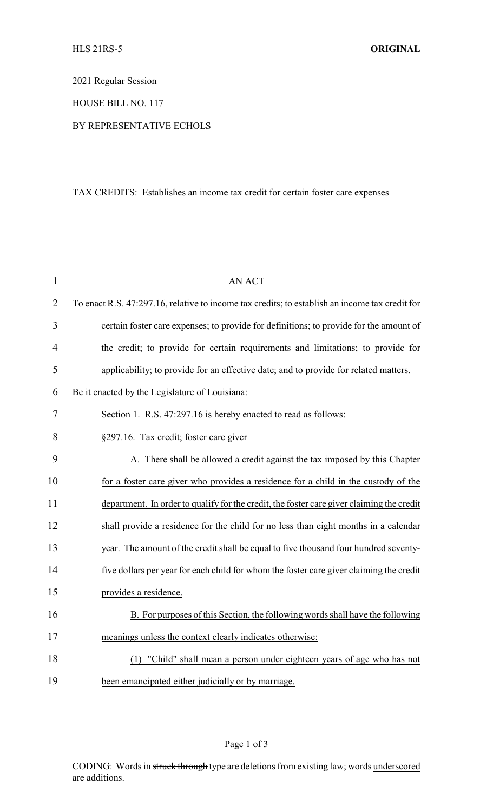2021 Regular Session

HOUSE BILL NO. 117

## BY REPRESENTATIVE ECHOLS

## TAX CREDITS: Establishes an income tax credit for certain foster care expenses

| $\mathbf{1}$   | <b>AN ACT</b>                                                                                  |
|----------------|------------------------------------------------------------------------------------------------|
| $\overline{2}$ | To enact R.S. 47:297.16, relative to income tax credits; to establish an income tax credit for |
| 3              | certain foster care expenses; to provide for definitions; to provide for the amount of         |
| 4              | the credit; to provide for certain requirements and limitations; to provide for                |
| 5              | applicability; to provide for an effective date; and to provide for related matters.           |
| 6              | Be it enacted by the Legislature of Louisiana:                                                 |
| 7              | Section 1. R.S. 47:297.16 is hereby enacted to read as follows:                                |
| 8              | §297.16. Tax credit; foster care giver                                                         |
| 9              | A. There shall be allowed a credit against the tax imposed by this Chapter                     |
| 10             | for a foster care giver who provides a residence for a child in the custody of the             |
| 11             | department. In order to qualify for the credit, the foster care giver claiming the credit      |
| 12             | shall provide a residence for the child for no less than eight months in a calendar            |
| 13             | year. The amount of the credit shall be equal to five thousand four hundred seventy-           |
| 14             | five dollars per year for each child for whom the foster care giver claiming the credit        |
| 15             | provides a residence.                                                                          |
| 16             | B. For purposes of this Section, the following words shall have the following                  |
| 17             | meanings unless the context clearly indicates otherwise:                                       |
| 18             | (1) "Child" shall mean a person under eighteen years of age who has not                        |
| 19             | been emancipated either judicially or by marriage.                                             |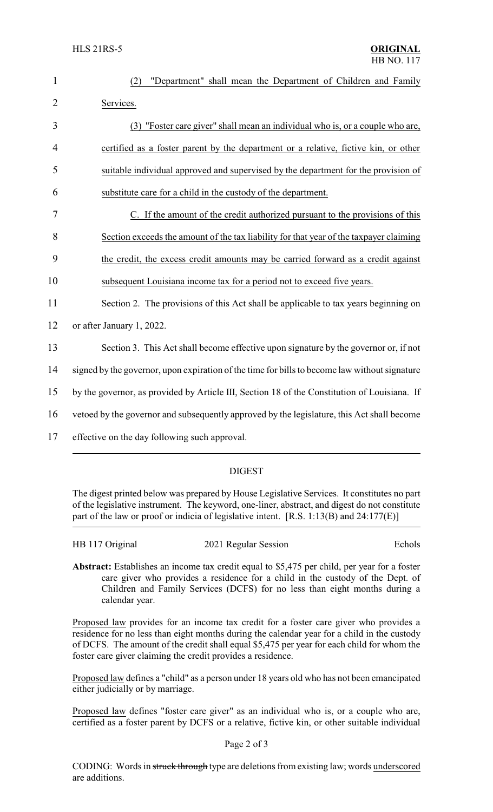| 1              | "Department" shall mean the Department of Children and Family<br>(2)                          |  |  |
|----------------|-----------------------------------------------------------------------------------------------|--|--|
| $\overline{2}$ | Services.                                                                                     |  |  |
| 3              | (3) "Foster care giver" shall mean an individual who is, or a couple who are,                 |  |  |
| $\overline{4}$ | certified as a foster parent by the department or a relative, fictive kin, or other           |  |  |
| 5              | suitable individual approved and supervised by the department for the provision of            |  |  |
| 6              | substitute care for a child in the custody of the department.                                 |  |  |
| 7              | C. If the amount of the credit authorized pursuant to the provisions of this                  |  |  |
| 8              | Section exceeds the amount of the tax liability for that year of the taxpayer claiming        |  |  |
| 9              | the credit, the excess credit amounts may be carried forward as a credit against              |  |  |
| 10             | subsequent Louisiana income tax for a period not to exceed five years.                        |  |  |
| 11             | Section 2. The provisions of this Act shall be applicable to tax years beginning on           |  |  |
| 12             | or after January 1, 2022.                                                                     |  |  |
| 13             | Section 3. This Act shall become effective upon signature by the governor or, if not          |  |  |
| 14             | signed by the governor, upon expiration of the time for bills to become law without signature |  |  |
| 15             | by the governor, as provided by Article III, Section 18 of the Constitution of Louisiana. If  |  |  |
| 16             | vetoed by the governor and subsequently approved by the legislature, this Act shall become    |  |  |
| 17             | effective on the day following such approval.                                                 |  |  |
|                |                                                                                               |  |  |

## DIGEST

The digest printed below was prepared by House Legislative Services. It constitutes no part of the legislative instrument. The keyword, one-liner, abstract, and digest do not constitute part of the law or proof or indicia of legislative intent. [R.S. 1:13(B) and 24:177(E)]

| HB 117 Original | 2021 Regular Session | Echols |
|-----------------|----------------------|--------|
|-----------------|----------------------|--------|

**Abstract:** Establishes an income tax credit equal to \$5,475 per child, per year for a foster care giver who provides a residence for a child in the custody of the Dept. of Children and Family Services (DCFS) for no less than eight months during a calendar year.

Proposed law provides for an income tax credit for a foster care giver who provides a residence for no less than eight months during the calendar year for a child in the custody of DCFS. The amount of the credit shall equal \$5,475 per year for each child for whom the foster care giver claiming the credit provides a residence.

Proposed law defines a "child" as a person under 18 years old who has not been emancipated either judicially or by marriage.

Proposed law defines "foster care giver" as an individual who is, or a couple who are, certified as a foster parent by DCFS or a relative, fictive kin, or other suitable individual